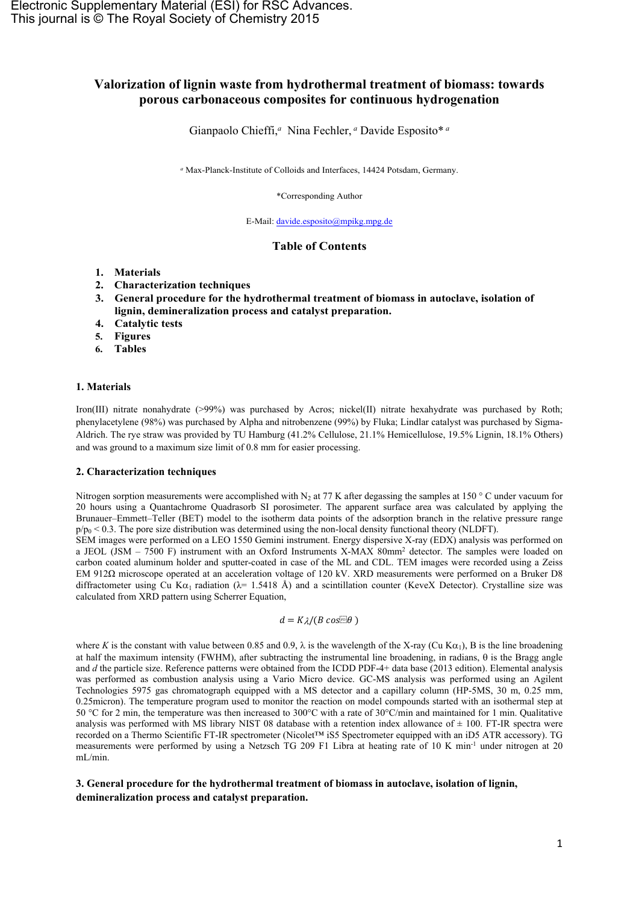# **Valorization of lignin waste from hydrothermal treatment of biomass: towards porous carbonaceous composites for continuous hydrogenation**

Gianpaolo Chieffi,*<sup>a</sup>* Nina Fechler, *<sup>a</sup>* Davide Esposito\* *<sup>a</sup>*

*<sup>a</sup>* Max-Planck-Institute of Colloids and Interfaces, 14424 Potsdam, Germany.

\*Corresponding Author

E-Mail: [davide.esposito@mpikg.mpg.de](mailto:davide.esposito@mpikg.mpg.de)

### **Table of Contents**

- **1. Materials**
- **2. Characterization techniques**
- **3. General procedure for the hydrothermal treatment of biomass in autoclave, isolation of lignin, demineralization process and catalyst preparation.**
- **4. Catalytic tests**
- **5. Figures**
- **6. Tables**

#### **1. Materials**

Iron(III) nitrate nonahydrate (>99%) was purchased by Acros; nickel(II) nitrate hexahydrate was purchased by Roth; phenylacetylene (98%) was purchased by Alpha and nitrobenzene (99%) by Fluka; Lindlar catalyst was purchased by Sigma-Aldrich. The rye straw was provided by TU Hamburg (41.2% Cellulose, 21.1% Hemicellulose, 19.5% Lignin, 18.1% Others) and was ground to a maximum size limit of 0.8 mm for easier processing.

### **2. Characterization techniques**

Nitrogen sorption measurements were accomplished with N<sub>2</sub> at 77 K after degassing the samples at 150 ° C under vacuum for 20 hours using a Quantachrome Quadrasorb SI porosimeter. The apparent surface area was calculated by applying the Brunauer–Emmett–Teller (BET) model to the isotherm data points of the adsorption branch in the relative pressure range  $p/p_0 < 0.3$ . The pore size distribution was determined using the non-local density functional theory (NLDFT).

SEM images were performed on a LEO 1550 Gemini instrument. Energy dispersive X-ray (EDX) analysis was performed on a JEOL (JSM – 7500 F) instrument with an Oxford Instruments X-MAX 80mm<sup>2</sup> detector. The samples were loaded on carbon coated aluminum holder and sputter-coated in case of the ML and CDL. TEM images were recorded using a Zeiss EM 912Ω microscope operated at an acceleration voltage of 120 kV. XRD measurements were performed on a Bruker D8 diffractometer using Cu K $\alpha_1$  radiation ( $\lambda$ = 1.5418 Å) and a scintillation counter (KeveX Detector). Crystalline size was calculated from XRD pattern using Scherrer Equation,

$$
d = K\lambda/(B\cos m\theta)
$$

where *K* is the constant with value between 0.85 and 0.9,  $\lambda$  is the wavelength of the X-ray (Cu K $\alpha_1$ ), B is the line broadening at half the maximum intensity (FWHM), after subtracting the instrumental line broadening, in radians,  $\theta$  is the Bragg angle and *d* the particle size. Reference patterns were obtained from the ICDD PDF-4+ data base (2013 edition). Elemental analysis was performed as combustion analysis using a Vario Micro device. GC-MS analysis was performed using an Agilent Technologies 5975 gas chromatograph equipped with a MS detector and a capillary column (HP-5MS, 30 m, 0.25 mm, 0.25micron). The temperature program used to monitor the reaction on model compounds started with an isothermal step at 50 °C for 2 min, the temperature was then increased to 300°C with a rate of 30°C/min and maintained for 1 min. Qualitative analysis was performed with MS library NIST 08 database with a retention index allowance of  $\pm$  100. FT-IR spectra were recorded on a Thermo Scientific FT-IR spectrometer (Nicolet™ iS5 Spectrometer equipped with an iD5 ATR accessory). TG measurements were performed by using a Netzsch TG 209 F1 Libra at heating rate of 10 K min-1 under nitrogen at 20 mL/min.

# **3. General procedure for the hydrothermal treatment of biomass in autoclave, isolation of lignin, demineralization process and catalyst preparation.**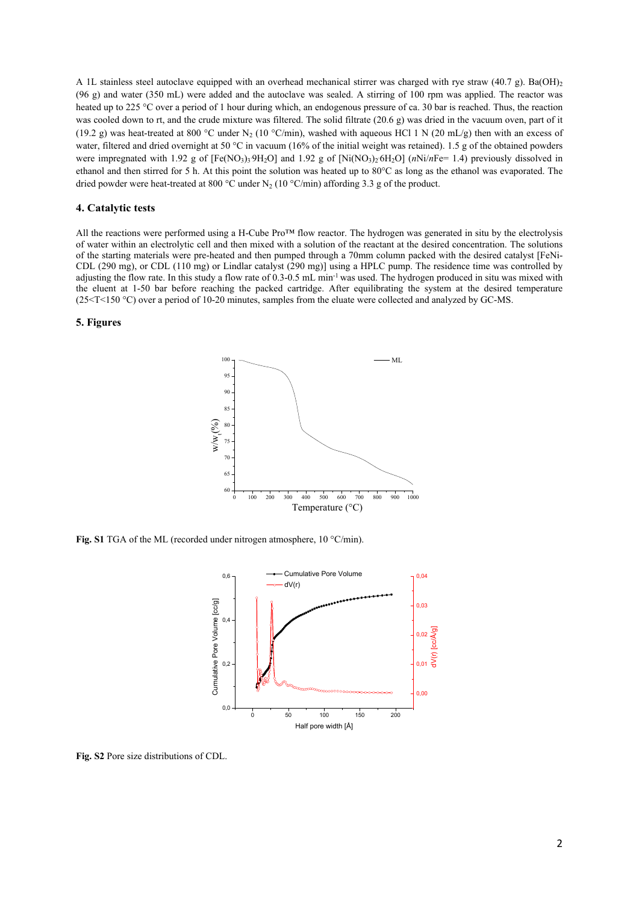A 1L stainless steel autoclave equipped with an overhead mechanical stirrer was charged with rye straw (40.7 g). Ba(OH)<sub>2</sub> (96 g) and water (350 mL) were added and the autoclave was sealed. A stirring of 100 rpm was applied. The reactor was heated up to 225 °C over a period of 1 hour during which, an endogenous pressure of ca. 30 bar is reached. Thus, the reaction was cooled down to rt, and the crude mixture was filtered. The solid filtrate (20.6 g) was dried in the vacuum oven, part of it (19.2 g) was heat-treated at 800 °C under N<sub>2</sub> (10 °C/min), washed with aqueous HCl 1 N (20 mL/g) then with an excess of water, filtered and dried overnight at 50 °C in vacuum (16% of the initial weight was retained). 1.5 g of the obtained powders were impregnated with 1.92 g of  $[Fe(NO<sub>3</sub>)<sub>3</sub>9H<sub>2</sub>O]$  and 1.92 g of  $[Ni(NO<sub>3</sub>)<sub>2</sub>6H<sub>2</sub>O]$  (*nNi/nFe=* 1.4) previously dissolved in ethanol and then stirred for 5 h. At this point the solution was heated up to 80°C as long as the ethanol was evaporated. The dried powder were heat-treated at 800 °C under N<sub>2</sub> (10 °C/min) affording 3.3 g of the product.

### **4. Catalytic tests**

All the reactions were performed using a H-Cube Pro™ flow reactor. The hydrogen was generated in situ by the electrolysis of water within an electrolytic cell and then mixed with a solution of the reactant at the desired concentration. The solutions of the starting materials were pre-heated and then pumped through a 70mm column packed with the desired catalyst [FeNi-CDL (290 mg), or CDL (110 mg) or Lindlar catalyst (290 mg)] using a HPLC pump. The residence time was controlled by adjusting the flow rate. In this study a flow rate of 0.3-0.5 mL min-1 was used. The hydrogen produced in situ was mixed with the eluent at 1-50 bar before reaching the packed cartridge. After equilibrating the system at the desired temperature (25<T<150 °C) over a period of 10-20 minutes, samples from the eluate were collected and analyzed by GC-MS.

## **5. Figures**



**Fig. S1** TGA of the ML (recorded under nitrogen atmosphere, 10 °C/min).



**Fig. S2** Pore size distributions of CDL.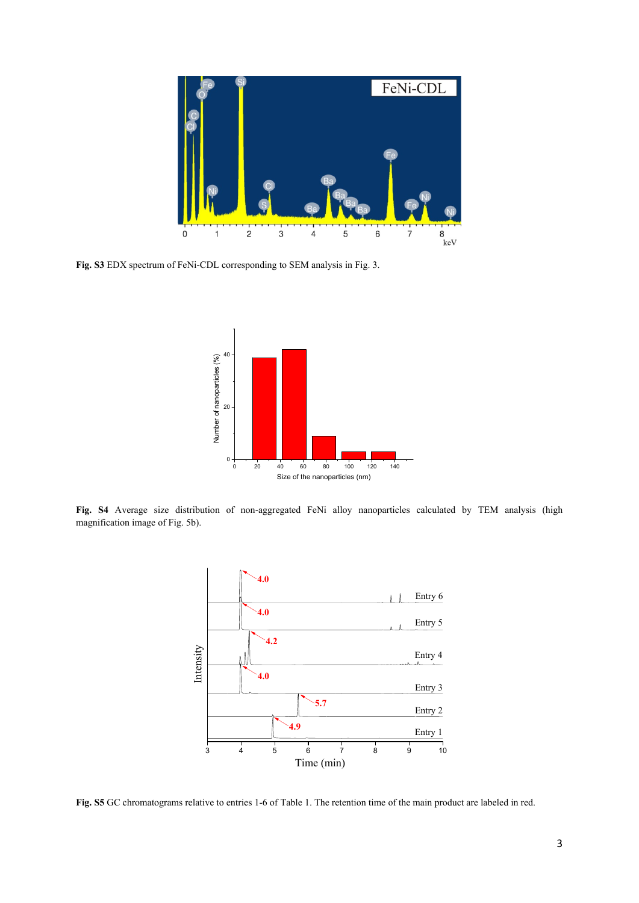

**Fig. S3** EDX spectrum of FeNi-CDL corresponding to SEM analysis in Fig. 3.



**Fig. S4** Average size distribution of non-aggregated FeNi alloy nanoparticles calculated by TEM analysis (high magnification image of Fig. 5b).



**Fig. S5** GC chromatograms relative to entries 1-6 of Table 1. The retention time of the main product are labeled in red.